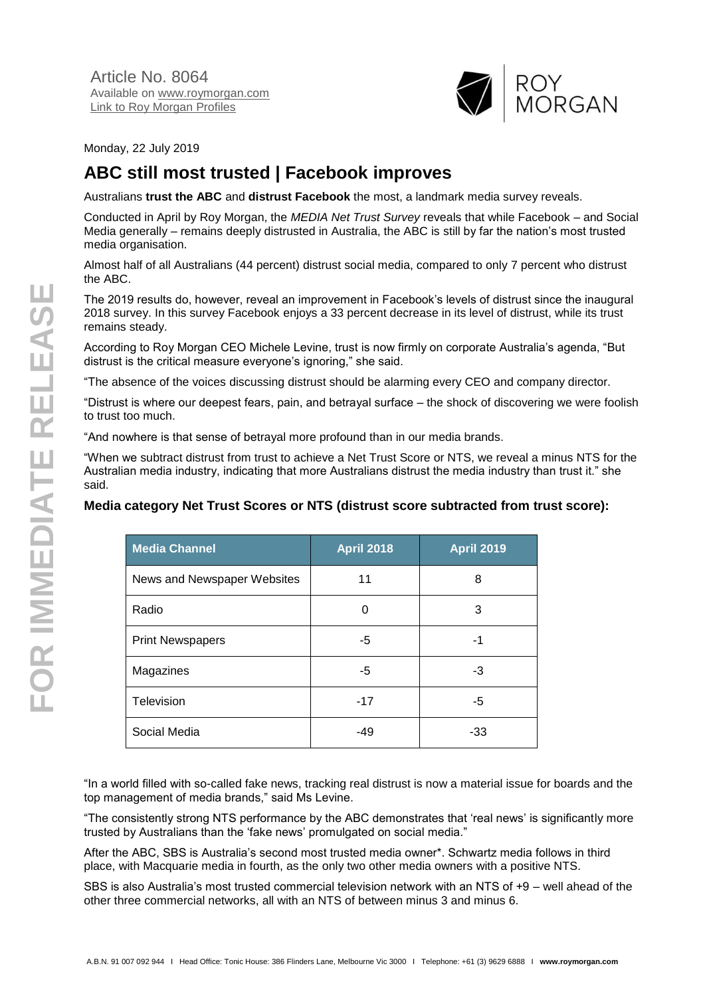

Monday, 22 July 2019

# **ABC still most trusted | Facebook improves**

Australians **trust the ABC** and **distrust Facebook** the most, a landmark media survey reveals.

Conducted in April by Roy Morgan, the *MEDIA Net Trust Survey* reveals that while Facebook – and Social Media generally – remains deeply distrusted in Australia, the ABC is still by far the nation's most trusted media organisation.

Almost half of all Australians (44 percent) distrust social media, compared to only 7 percent who distrust the ABC.

The 2019 results do, however, reveal an improvement in Facebook's levels of distrust since the inaugural 2018 survey. In this survey Facebook enjoys a 33 percent decrease in its level of distrust, while its trust remains steady.

According to Roy Morgan CEO Michele Levine, trust is now firmly on corporate Australia's agenda, "But distrust is the critical measure everyone's ignoring," she said.

"The absence of the voices discussing distrust should be alarming every CEO and company director.

"Distrust is where our deepest fears, pain, and betrayal surface – the shock of discovering we were foolish to trust too much.

"And nowhere is that sense of betrayal more profound than in our media brands.

"When we subtract distrust from trust to achieve a Net Trust Score or NTS, we reveal a minus NTS for the Australian media industry, indicating that more Australians distrust the media industry than trust it." she said.

### **Media category Net Trust Scores or NTS (distrust score subtracted from trust score):**

| <b>Media Channel</b>        | <b>April 2018</b> | <b>April 2019</b> |
|-----------------------------|-------------------|-------------------|
| News and Newspaper Websites | 11                | 8                 |
| Radio                       | 0                 | 3                 |
| <b>Print Newspapers</b>     | $-5$              | -1                |
| Magazines                   | -5                | -3                |
| Television                  | $-17$             | -5                |
| Social Media                | $-49$             | -33               |

"In a world filled with so-called fake news, tracking real distrust is now a material issue for boards and the top management of media brands," said Ms Levine.

"The consistently strong NTS performance by the ABC demonstrates that 'real news' is significantly more trusted by Australians than the 'fake news' promulgated on social media."

After the ABC, SBS is Australia's second most trusted media owner\*. Schwartz media follows in third place, with Macquarie media in fourth, as the only two other media owners with a positive NTS.

SBS is also Australia's most trusted commercial television network with an NTS of +9 – well ahead of the other three commercial networks, all with an NTS of between minus 3 and minus 6.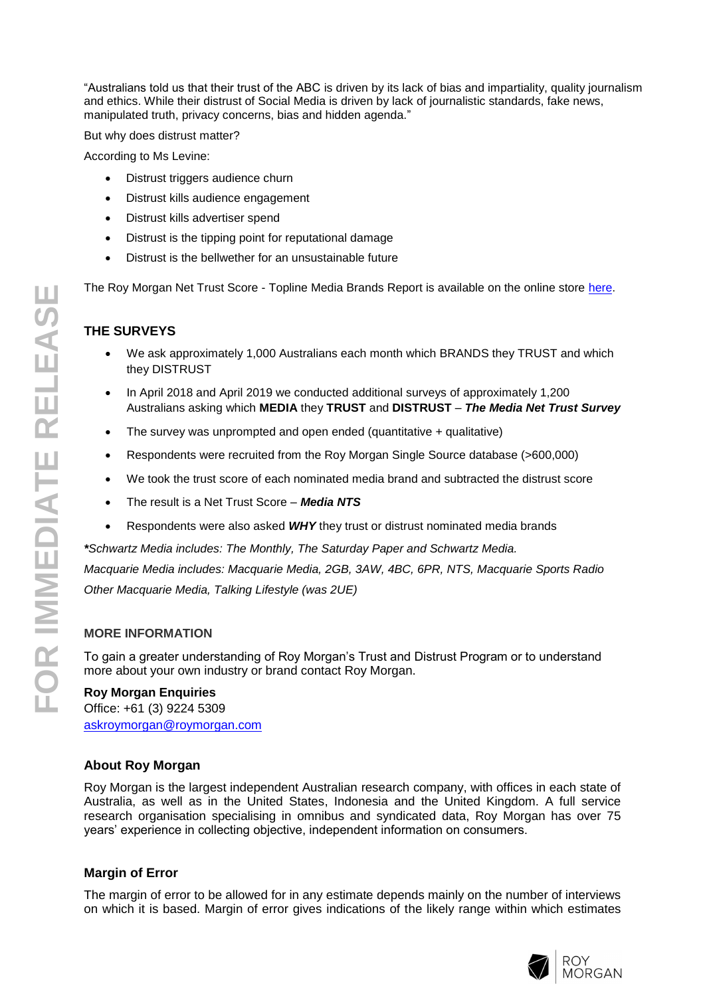"Australians told us that their trust of the ABC is driven by its lack of bias and impartiality, quality journalism and ethics. While their distrust of Social Media is driven by lack of journalistic standards, fake news, manipulated truth, privacy concerns, bias and hidden agenda. "

But why does distrust matter?

According to Ms Levine:

- Distrust triggers audience churn
- Distrust kills audience engagement
- Distrust kills advertiser spend
- Distrust is the tipping point for reputational damage
- Distrust is the bellwether for an unsustainable future

The Roy Morgan Net Trust Score - Topline Media Brands Report is available on the online store [here](http://www.roymorganonlinestore.com/Browse/Australia/Net-Trust-Score/Roy-Morgan-Net-Trust-Score-Topline-Media-Brands-Re.aspx).

## **THE SURVEYS**

- We ask approximately 1,000 Australians each month which BRANDS they TRUST and which they DISTRUST
- In April 2018 and April 2019 we conducted additional surveys of approximately 1,200 Australians asking which **MEDIA** they **TRUST** and **DISTRUST** – *The Media Net Trust Survey*
- The survey was unprompted and open ended (quantitative + qualitative)
- Respondents were recruited from the Roy Morgan Single Source database (>600,000)
- We took the trust score of each nominated media brand and subtracted the distrust score
- The result is a Net Trust Score *Media NTS*
- Respondents were also asked *WHY* they trust or distrust nominated media brands

*\*Schwartz Media includes: The Monthly, The Saturday Paper and Schwartz Media. Macquarie Media includes: Macquarie Media, 2GB, 3AW, 4BC, 6PR, NTS, Macquarie Sports Radio Other Macquarie Media, Talking Lifestyle (was 2UE)*

### **MORE INFORMATION**

To gain a greater understanding of Roy Morgan's Trust and Distrust Program or to understand more about your own industry or brand contact Roy Morgan.

#### **Roy Morgan Enquiries** Office: +61 (3) 9224 5309 [askroymorgan@roymorgan.com](mailto:askroymorgan@roymorgan.com)

### **About Roy Morgan**

Roy Morgan is the largest independent Australian research company, with offices in each state of Australia, as well as in the United States, Indonesia and the United Kingdom. A full service research organisation specialising in omnibus and syndicated data, Roy Morgan has over 7 5 years' experience in collecting objective, independent information on consumers.

### **Margin of Error**

The margin of error to be allowed for in any estimate depends mainly on the number of interviews on which it is based. Margin of error gives indications of the likely range within which estimates